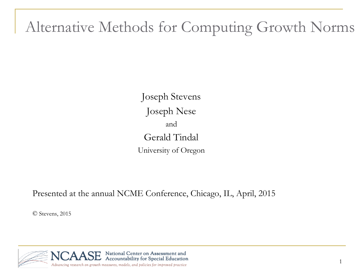#### Alternative Methods for Computing Growth Norms

Joseph Stevens Joseph Nese and Gerald Tindal University of Oregon

Presented at the annual NCME Conference, Chicago, IL, April, 2015

© Stevens, 2015

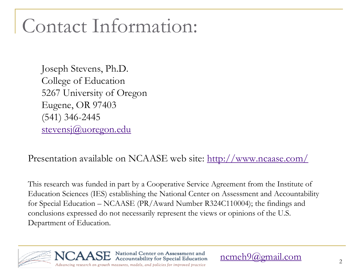# Contact Information:

Joseph Stevens, Ph.D. College of Education 5267 University of Oregon Eugene, OR 97403 (541) 346-2445 [stevensj@uoregon.edu](mailto:stevensj@uoregon.edu)

Presentation available on NCAASE web site: <http://www.ncaase.com/>

This research was funded in part by a Cooperative Service Agreement from the Institute of Education Sciences (IES) establishing the National Center on Assessment and Accountability for Special Education – NCAASE (PR/Award Number R324C110004); the findings and conclusions expressed do not necessarily represent the views or opinions of the U.S. Department of Education.

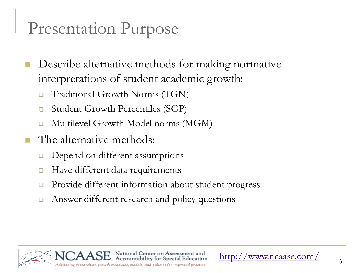### Presentation Purpose

- **Describe alternative methods for making normative** interpretations of student academic growth:
	- Traditional Growth Norms (TGN)
	- Student Growth Percentiles (SGP)
	- Multilevel Growth Model norms (MGM)
- **The alternative methods:** 
	- Depend on different assumptions
	- **□** Have different data requirements
	- Provide different information about student progress
	- **□** Answer different research and policy questions



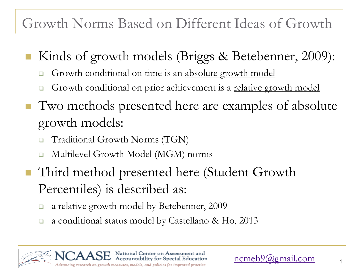Growth Norms Based on Different Ideas of Growth

- Kinds of growth models (Briggs & Betebenner, 2009):
	- Growth conditional on time is an absolute growth model
	- Growth conditional on prior achievement is a relative growth model
- Two methods presented here are examples of absolute growth models:
	- □ Traditional Growth Norms (TGN)
	- Multilevel Growth Model (MGM) norms
- Third method presented here (Student Growth Percentiles) is described as:
	- **a** relative growth model by Betebenner, 2009
	- a conditional status model by Castellano & Ho, 2013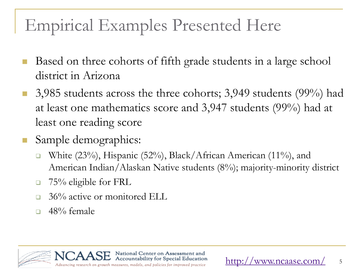## Empirical Examples Presented Here

- Based on three cohorts of fifth grade students in a large school district in Arizona
- $\blacksquare$  3,985 students across the three cohorts; 3,949 students (99%) had at least one mathematics score and 3,947 students (99%) had at least one reading score
- Sample demographics:
	- White  $(23\%)$ , Hispanic  $(52\%)$ , Black/African American  $(11\%)$ , and American Indian/Alaskan Native students (8%); majority-minority district
	- $\Box$  75% eligible for FRL
	- □ 36% active or monitored ELL
	- $\Box$  48% female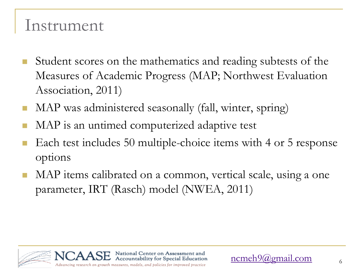#### Instrument

- **Student scores on the mathematics and reading subtests of the** Measures of Academic Progress (MAP; Northwest Evaluation Association, 2011)
- MAP was administered seasonally (fall, winter, spring)
- MAP is an untimed computerized adaptive test
- Each test includes 50 multiple-choice items with 4 or 5 response options
- MAP items calibrated on a common, vertical scale, using a one parameter, IRT (Rasch) model (NWEA, 2011)

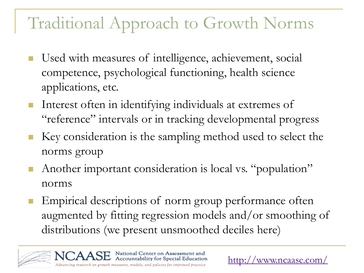### Traditional Approach to Growth Norms

- Used with measures of intelligence, achievement, social competence, psychological functioning, health science applications, etc.
- **Interest often in identifying individuals at extremes of** "reference" intervals or in tracking developmental progress
- Key consideration is the sampling method used to select the norms group
- Another important consideration is local vs. "population" norms
- Empirical descriptions of norm group performance often augmented by fitting regression models and/or smoothing of distributions (we present unsmoothed deciles here)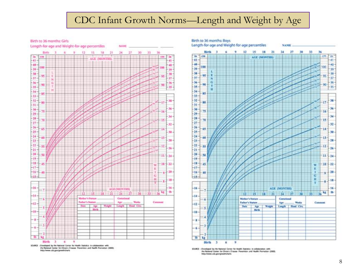#### CDC Infant Growth Norms—Length and Weight by Age

Birth to 36 months: Girls



SOURCE : Developed by the National Center for Health Statistics in collaboration with the Nickonal Center for Chronix Disease Prevention and Health Promotion (2000).<br>http://www.colc.gov/growthcharts



SOURCE : Divisioned by the National Center for Health Statistics in collaboration with the National Center for Chronix Crizeale. Prevention and Health Premation (2003). Intestimone ads.gov/growthsharts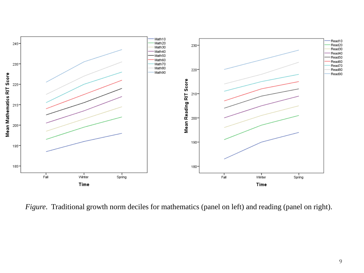

*Figure*. Traditional growth norm deciles for mathematics (panel on left) and reading (panel on right).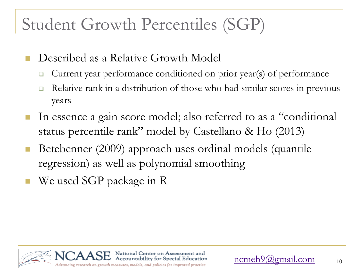## Student Growth Percentiles (SGP)

- Described as a Relative Growth Model
	- $\Box$  Current year performance conditioned on prior year(s) of performance
	- □ Relative rank in a distribution of those who had similar scores in previous years
- In essence a gain score model; also referred to as a "conditional status percentile rank" model by Castellano & Ho (2013)
- Betebenner (2009) approach uses ordinal models (quantile regression) as well as polynomial smoothing
- We used SGP package in *R*

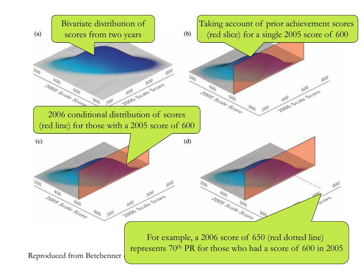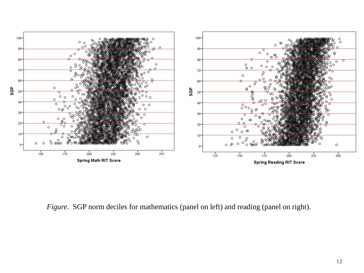

*Figure*. SGP norm deciles for mathematics (panel on left) and reading (panel on right).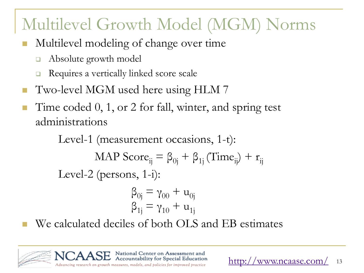## Multilevel Growth Model (MGM) Norms

- Multilevel modeling of change over time
	- Absolute growth model
	- Requires a vertically linked score scale
- Two-level MGM used here using HLM 7
- Time coded 0, 1, or 2 for fall, winter, and spring test administrations

Level-1 (measurement occasions, 1-t):

MAP Score<sub>ij</sub> = 
$$
\beta_{0j} + \beta_{1j}
$$
 (Time<sub>ij</sub>) +  $r_{ij}$ 

Level-2 (persons, 1-i):

$$
\begin{array}{c} \beta_{0j} \equiv \gamma_{00} + u_{0j} \\ \beta_{1j} \equiv \gamma_{10} + u_{1j} \end{array}
$$

We calculated deciles of both OLS and EB estimates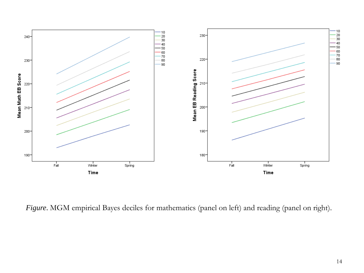

*Figure*. MGM empirical Bayes deciles for mathematics (panel on left) and reading (panel on right).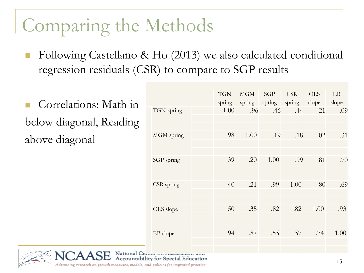Following Castellano & Ho (2013) we also calculated conditional regression residuals (CSR) to compare to SGP results

 Correlations: Math in below diagonal, Reading above diagonal

|            | <b>TGN</b><br>spring | <b>MGM</b><br>spring | <b>SGP</b><br>spring | <b>CSR</b><br>spring | <b>OLS</b><br>slope | EB<br>slope |
|------------|----------------------|----------------------|----------------------|----------------------|---------------------|-------------|
| TGN spring | 1.00                 | .96                  | .46                  | .44                  | .21                 | $-.09$      |
| MGM spring | .98                  | 1.00                 | .19                  | .18                  | $-.02$              | $-.31$      |
|            |                      |                      |                      |                      |                     |             |
| SGP spring | .39                  | .20                  | 1.00                 | .99                  | .81                 | .70         |
| CSR spring | .40                  | .21                  | .99                  | 1.00                 | .80                 | .69         |
| OLS slope  | .50                  | .35                  | .82                  | .82                  | 1.00                | .93         |
|            |                      |                      |                      |                      |                     |             |
| EB slope   | .94                  | .87                  | .55                  | .57                  | .74                 | 1.00        |
|            |                      |                      |                      |                      |                     |             |



National Center on Assessment and Accountability for Special Education

Advancing research on growth measures, models, and policies for improved practice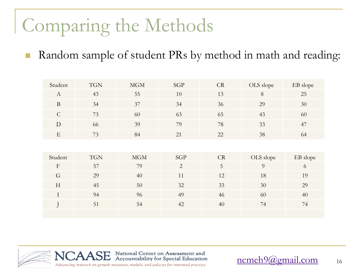■ Random sample of student PRs by method in math and reading:

| Student                   | <b>TGN</b> | MGM | <b>SGP</b>     | CR | OLS slope      | EB slope |
|---------------------------|------------|-----|----------------|----|----------------|----------|
| $\mathbf{A}$              | 43         | 55  | 10             | 13 | $8\,$          | 25       |
| $\, {\bf B}$              | 34         | 37  | 34             | 36 | 29             | 30       |
| $\mathcal{C}$             | 73         | 60  | 63             | 65 | 43             | 60       |
| D                         | 66         | 39  | 79             | 78 | 33             | 47       |
| $\mathbf E$               | 73         | 84  | 21             | 22 | 38             | 64       |
|                           |            |     |                |    |                |          |
| Student                   | <b>TGN</b> | MGM | SGP            | CR | OLS slope      | EB slope |
| $\boldsymbol{\mathrm{F}}$ | 57         | 79  | $\overline{2}$ | 5  | $\overline{9}$ | 6        |
| G                         | 29         | 40  | 11             | 12 | 18             | 19       |
| H                         | 45         | 50  | 32             | 33 | 30             | 29       |
| $\mathbf I$               | 94         | 96  | 49             | 46 | 60             | 40       |
|                           | 51         | 54  | 42             | 40 | 74             | 74       |
|                           |            |     |                |    |                |          |



16 [ncmeh9@gmail.com](mailto:ncmeh9@gmail.com)

Advancing research on growth measures, models, and policies for improved practice

National Center on Assessment and<br>Accountability for Special Education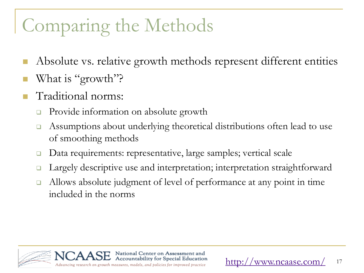- Absolute vs. relative growth methods represent different entities
- What is "growth"?
- Traditional norms:
	- **Provide information on absolute growth**
	- Assumptions about underlying theoretical distributions often lead to use of smoothing methods
	- □ Data requirements: representative, large samples; vertical scale
	- **□** Largely descriptive use and interpretation; interpretation straightforward
	- Allows absolute judgment of level of performance at any point in time included in the norms

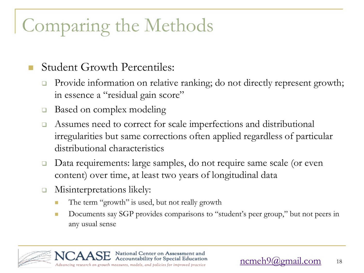#### Student Growth Percentiles:

- □ Provide information on relative ranking; do not directly represent growth; in essence a "residual gain score"
- Based on complex modeling
- □ Assumes need to correct for scale imperfections and distributional irregularities but same corrections often applied regardless of particular distributional characteristics
- Data requirements: large samples, do not require same scale (or even content) over time, at least two years of longitudinal data
- **EXECUTE:** Misinterpretations likely:
	- The term "growth" is used, but not really growth
	- Documents say SGP provides comparisons to "student's peer group," but not peers in any usual sense